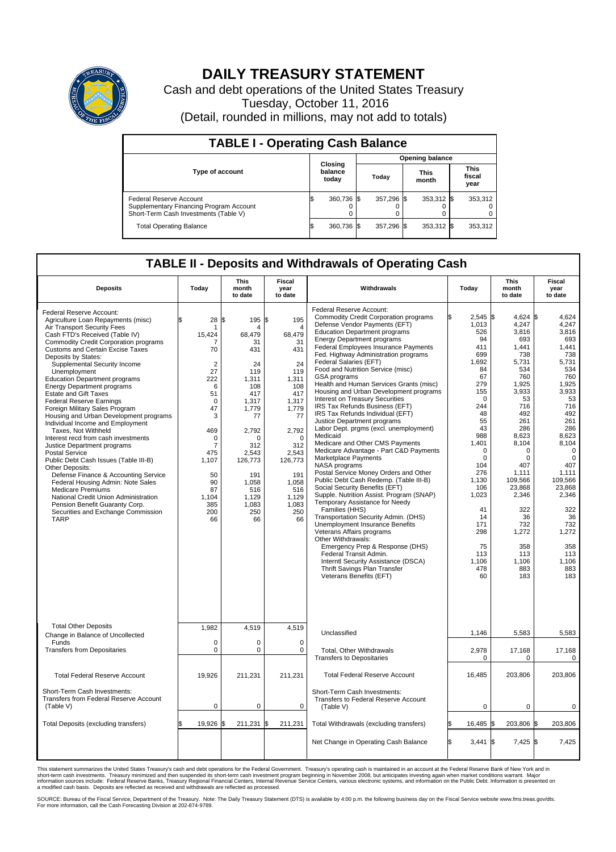

## **DAILY TREASURY STATEMENT**

Cash and debt operations of the United States Treasury Tuesday, October 11, 2016 (Detail, rounded in millions, may not add to totals)

| <b>TABLE I - Operating Cash Balance</b>                                                                     |  |                             |  |                        |  |                      |  |                               |  |
|-------------------------------------------------------------------------------------------------------------|--|-----------------------------|--|------------------------|--|----------------------|--|-------------------------------|--|
|                                                                                                             |  |                             |  | <b>Opening balance</b> |  |                      |  |                               |  |
| <b>Type of account</b>                                                                                      |  | Closing<br>balance<br>today |  | Today                  |  | <b>This</b><br>month |  | <b>This</b><br>fiscal<br>year |  |
| Federal Reserve Account<br>Supplementary Financing Program Account<br>Short-Term Cash Investments (Table V) |  | 360,736 \$                  |  | 357.296 \$             |  | 353,312 \$           |  | 353,312                       |  |
| <b>Total Operating Balance</b>                                                                              |  | 360,736 \$                  |  | 357,296 \$             |  | 353,312 \$           |  | 353,312                       |  |

## **TABLE II - Deposits and Withdrawals of Operating Cash**

| <b>Deposits</b>                                                                                                                                                                                                                                                                                                                                                                                                                                                                                                                                                                                                                                                                                                                                                                                                                                                                                                                                                                      | Today                                                                                                                                                                                  | <b>This</b><br><b>Fiscal</b><br>Withdrawals<br>month<br>year<br>to date<br>to date                                                                                                                   |                                                                                                                                                                                                   |                                                                                                                                                                                                                                                                                                                                                                                                                                                                                                                                                                                                                                                                                                                                                                                                                                                                                                                                                                                                                                                                                                                                                                                                                                                                                                |                                                                                                                                                                                                                                                                               |                                                                                                                                                                                                                                                                            |                                                                                                                                                                                                                                                                                           |  |  |  |  | This<br>month<br>to date | <b>Fiscal</b><br>year<br>to date |  |
|--------------------------------------------------------------------------------------------------------------------------------------------------------------------------------------------------------------------------------------------------------------------------------------------------------------------------------------------------------------------------------------------------------------------------------------------------------------------------------------------------------------------------------------------------------------------------------------------------------------------------------------------------------------------------------------------------------------------------------------------------------------------------------------------------------------------------------------------------------------------------------------------------------------------------------------------------------------------------------------|----------------------------------------------------------------------------------------------------------------------------------------------------------------------------------------|------------------------------------------------------------------------------------------------------------------------------------------------------------------------------------------------------|---------------------------------------------------------------------------------------------------------------------------------------------------------------------------------------------------|------------------------------------------------------------------------------------------------------------------------------------------------------------------------------------------------------------------------------------------------------------------------------------------------------------------------------------------------------------------------------------------------------------------------------------------------------------------------------------------------------------------------------------------------------------------------------------------------------------------------------------------------------------------------------------------------------------------------------------------------------------------------------------------------------------------------------------------------------------------------------------------------------------------------------------------------------------------------------------------------------------------------------------------------------------------------------------------------------------------------------------------------------------------------------------------------------------------------------------------------------------------------------------------------|-------------------------------------------------------------------------------------------------------------------------------------------------------------------------------------------------------------------------------------------------------------------------------|----------------------------------------------------------------------------------------------------------------------------------------------------------------------------------------------------------------------------------------------------------------------------|-------------------------------------------------------------------------------------------------------------------------------------------------------------------------------------------------------------------------------------------------------------------------------------------|--|--|--|--|--------------------------|----------------------------------|--|
| Federal Reserve Account:<br>Agriculture Loan Repayments (misc)<br>Air Transport Security Fees<br>Cash FTD's Received (Table IV)<br><b>Commodity Credit Corporation programs</b><br><b>Customs and Certain Excise Taxes</b><br>Deposits by States:<br>Supplemental Security Income<br>Unemployment<br><b>Education Department programs</b><br><b>Energy Department programs</b><br><b>Estate and Gift Taxes</b><br><b>Federal Reserve Earnings</b><br>Foreign Military Sales Program<br>Housing and Urban Development programs<br>Individual Income and Employment<br>Taxes. Not Withheld<br>Interest recd from cash investments<br>Justice Department programs<br>Postal Service<br>Public Debt Cash Issues (Table III-B)<br>Other Deposits:<br>Defense Finance & Accounting Service<br>Federal Housing Admin: Note Sales<br><b>Medicare Premiums</b><br>National Credit Union Administration<br>Pension Benefit Guaranty Corp.<br>Securities and Exchange Commission<br><b>TARP</b> | \$<br>28<br>15,424<br>70<br>$\overline{2}$<br>27<br>222<br>6<br>51<br>$\mathbf 0$<br>47<br>3<br>469<br>$\mathbf 0$<br>7<br>475<br>1,107<br>50<br>90<br>87<br>1.104<br>385<br>200<br>66 | 195 \$<br>l\$<br>4<br>68,479<br>31<br>431<br>24<br>119<br>1,311<br>108<br>417<br>1,317<br>1,779<br>77<br>2,792<br>n<br>312<br>2,543<br>126,773<br>191<br>1.058<br>516<br>1.129<br>1,083<br>250<br>66 | 195<br>4<br>68,479<br>31<br>431<br>24<br>119<br>1,311<br>108<br>417<br>1,317<br>1,779<br>77<br>2,792<br>$\Omega$<br>312<br>2,543<br>126,773<br>191<br>1.058<br>516<br>1.129<br>1,083<br>250<br>66 | Federal Reserve Account:<br><b>Commodity Credit Corporation programs</b><br>Defense Vendor Payments (EFT)<br><b>Education Department programs</b><br><b>Energy Department programs</b><br><b>Federal Employees Insurance Payments</b><br>Fed. Highway Administration programs<br>Federal Salaries (EFT)<br>Food and Nutrition Service (misc)<br><b>GSA</b> programs<br>Health and Human Services Grants (misc)<br>Housing and Urban Development programs<br>Interest on Treasury Securities<br>IRS Tax Refunds Business (EFT)<br>IRS Tax Refunds Individual (EFT)<br>Justice Department programs<br>Labor Dept. prgms (excl. unemployment)<br>Medicaid<br>Medicare and Other CMS Payments<br>Medicare Advantage - Part C&D Payments<br>Marketplace Payments<br>NASA programs<br>Postal Service Money Orders and Other<br>Public Debt Cash Redemp. (Table III-B)<br>Social Security Benefits (EFT)<br>Supple. Nutrition Assist. Program (SNAP)<br>Temporary Assistance for Needy<br>Families (HHS)<br>Transportation Security Admin. (DHS)<br>Unemployment Insurance Benefits<br>Veterans Affairs programs<br>Other Withdrawals:<br>Emergency Prep & Response (DHS)<br>Federal Transit Admin.<br>Interntl Security Assistance (DSCA)<br>Thrift Savings Plan Transfer<br>Veterans Benefits (EFT) | $2,545$ \$<br>ß<br>1,013<br>526<br>94<br>411<br>699<br>1,692<br>84<br>67<br>279<br>155<br>$\Omega$<br>244<br>48<br>55<br>43<br>988<br>1,401<br>$\mathbf 0$<br>$\mathbf 0$<br>104<br>276<br>1,130<br>106<br>1,023<br>41<br>14<br>171<br>298<br>75<br>113<br>1,106<br>478<br>60 | $4,624$ \$<br>4,247<br>3,816<br>693<br>1,441<br>738<br>5,731<br>534<br>760<br>1,925<br>3,933<br>53<br>716<br>492<br>261<br>286<br>8,623<br>8,104<br>0<br>0<br>407<br>1,111<br>109,566<br>23,868<br>2,346<br>322<br>36<br>732<br>1,272<br>358<br>113<br>1,106<br>883<br>183 | 4,624<br>4,247<br>3,816<br>693<br>1,441<br>738<br>5,731<br>534<br>760<br>1,925<br>3,933<br>53<br>716<br>492<br>261<br>286<br>8,623<br>8,104<br>$\mathbf 0$<br>$\mathbf 0$<br>407<br>1,111<br>109,566<br>23.868<br>2,346<br>322<br>36<br>732<br>1,272<br>358<br>113<br>1,106<br>883<br>183 |  |  |  |  |                          |                                  |  |
| <b>Total Other Deposits</b><br>Change in Balance of Uncollected                                                                                                                                                                                                                                                                                                                                                                                                                                                                                                                                                                                                                                                                                                                                                                                                                                                                                                                      | 1,982                                                                                                                                                                                  | 4,519                                                                                                                                                                                                | 4,519                                                                                                                                                                                             | Unclassified                                                                                                                                                                                                                                                                                                                                                                                                                                                                                                                                                                                                                                                                                                                                                                                                                                                                                                                                                                                                                                                                                                                                                                                                                                                                                   | 1,146                                                                                                                                                                                                                                                                         | 5,583                                                                                                                                                                                                                                                                      | 5,583                                                                                                                                                                                                                                                                                     |  |  |  |  |                          |                                  |  |
| Funds<br><b>Transfers from Depositaries</b>                                                                                                                                                                                                                                                                                                                                                                                                                                                                                                                                                                                                                                                                                                                                                                                                                                                                                                                                          | $\mathbf 0$<br>$\pmb{0}$                                                                                                                                                               | $\Omega$<br>0                                                                                                                                                                                        | $\Omega$<br>$\mathbf 0$                                                                                                                                                                           | Total, Other Withdrawals<br><b>Transfers to Depositaries</b>                                                                                                                                                                                                                                                                                                                                                                                                                                                                                                                                                                                                                                                                                                                                                                                                                                                                                                                                                                                                                                                                                                                                                                                                                                   | 2,978<br>$\mathbf 0$                                                                                                                                                                                                                                                          | 17,168<br>$\Omega$                                                                                                                                                                                                                                                         | 17,168<br>$\mathbf 0$                                                                                                                                                                                                                                                                     |  |  |  |  |                          |                                  |  |
| <b>Total Federal Reserve Account</b>                                                                                                                                                                                                                                                                                                                                                                                                                                                                                                                                                                                                                                                                                                                                                                                                                                                                                                                                                 | 19,926                                                                                                                                                                                 | 211,231                                                                                                                                                                                              | 211,231                                                                                                                                                                                           | <b>Total Federal Reserve Account</b>                                                                                                                                                                                                                                                                                                                                                                                                                                                                                                                                                                                                                                                                                                                                                                                                                                                                                                                                                                                                                                                                                                                                                                                                                                                           | 16,485                                                                                                                                                                                                                                                                        | 203,806                                                                                                                                                                                                                                                                    | 203.806                                                                                                                                                                                                                                                                                   |  |  |  |  |                          |                                  |  |
| Short-Term Cash Investments:<br>Transfers from Federal Reserve Account<br>(Table V)                                                                                                                                                                                                                                                                                                                                                                                                                                                                                                                                                                                                                                                                                                                                                                                                                                                                                                  | 0                                                                                                                                                                                      | 0                                                                                                                                                                                                    | 0                                                                                                                                                                                                 | Short-Term Cash Investments:<br>Transfers to Federal Reserve Account<br>(Table V)                                                                                                                                                                                                                                                                                                                                                                                                                                                                                                                                                                                                                                                                                                                                                                                                                                                                                                                                                                                                                                                                                                                                                                                                              | $\mathbf 0$                                                                                                                                                                                                                                                                   | 0                                                                                                                                                                                                                                                                          | 0                                                                                                                                                                                                                                                                                         |  |  |  |  |                          |                                  |  |
| Total Deposits (excluding transfers)                                                                                                                                                                                                                                                                                                                                                                                                                                                                                                                                                                                                                                                                                                                                                                                                                                                                                                                                                 | 19,926                                                                                                                                                                                 | 211,231                                                                                                                                                                                              | \$<br>211,231                                                                                                                                                                                     | Total Withdrawals (excluding transfers)                                                                                                                                                                                                                                                                                                                                                                                                                                                                                                                                                                                                                                                                                                                                                                                                                                                                                                                                                                                                                                                                                                                                                                                                                                                        | 16,485 \$                                                                                                                                                                                                                                                                     | 203,806 \$                                                                                                                                                                                                                                                                 | 203,806                                                                                                                                                                                                                                                                                   |  |  |  |  |                          |                                  |  |
|                                                                                                                                                                                                                                                                                                                                                                                                                                                                                                                                                                                                                                                                                                                                                                                                                                                                                                                                                                                      |                                                                                                                                                                                        |                                                                                                                                                                                                      |                                                                                                                                                                                                   | Net Change in Operating Cash Balance                                                                                                                                                                                                                                                                                                                                                                                                                                                                                                                                                                                                                                                                                                                                                                                                                                                                                                                                                                                                                                                                                                                                                                                                                                                           | l\$<br>$3,441$ \$                                                                                                                                                                                                                                                             | $7,425$ \$                                                                                                                                                                                                                                                                 | 7,425                                                                                                                                                                                                                                                                                     |  |  |  |  |                          |                                  |  |

This statement summarizes the United States Treasury's cash and debt operations for the Federal Government. Treasury's operating cash is maintained in an account at the Federal Reserve Bank of New York and in<br>informetion s

SOURCE: Bureau of the Fiscal Service, Department of the Treasury. Note: The Daily Treasury Statement (DTS) is available by 4:00 p.m. the following business day on the Fiscal Service website www.fms.treas.gov/dts.<br>For more